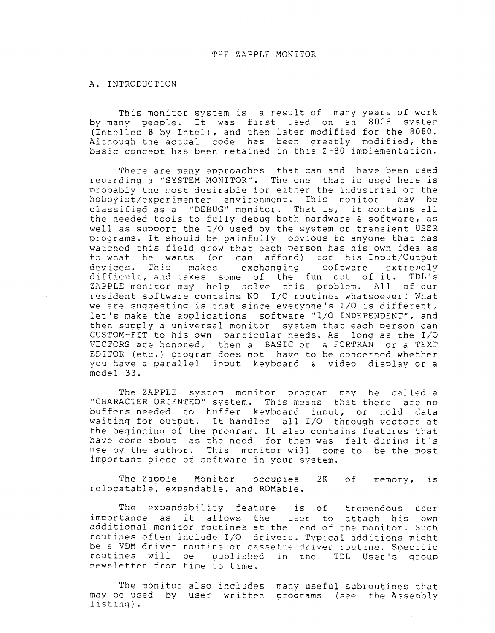### THE ZAPPLE MONITOR

#### A. INTRODUCTION

This monitor system is <sup>a</sup> result of many years of work by many people. It was first used on an 8008 system (Intellec <sup>8</sup> by Intel), and then later modified for the 8080. Although the actual code has been areatly modified, the basic concept has been retained in this Z-80 implementation.

There are many approaches that can and have been used reaardinq <sup>a</sup> "SYSTEM MONITOR". The one that is used here is probably the most desirable for either the industrial or the<br>hobbyist/experimenter environment. This monitor may be hobbyist/experimenter environment. This monitor may be<br>classified as a "DEBUG" monitor. That is, it contains all classified as a "DEBUG" monitor. That is, it contains all<br>the needed tools to fully debug both hardware & software, as well as supoort the I/O used by the system or transient USER programs. It should be painfully obvious to anyone that has watched this field grow that each person has his own idea as to what he wants (or can afford) for his Input/Output<br>devices. This makes exchanging software extremely devices. This makes exchanging software extremely difficult, and takes some of the fun out of it. TDL':<br>ZAPPLE monitor may help solve this problem. All of our ZAPPLE monitor may help solve this problem. All of our resident software contains NO I/O routines whatsoever! What we are suggestinq is that since everyone's I/O is different, let's make the applications software "I/O INDEPENDENT", and then supply a universal monitor system that each person can CUSTOM-FIT to his own Darticular needs. As long as the I/O VECTORS are honored, then <sup>a</sup> BASIC or <sup>a</sup> FORTRAN or <sup>a</sup> TEXT EDITOR (etc.) proqram does not have to be concerned whether you have a parallel input keyboard & video display or a<br>modol 22 model 33.

The ZAPPLE system monitor program may be called a<br>ACTER-ORIENTED" system. This means that there are no "CHARACTER ORIENTED" system. buffers needed to buffer keyboard input, or hold data waiting for output. It handles all I/O throuqh vectors at the beginnina of the proaram. It also contains features that have come about as the need for them was felt during it's<br>use by the author. This monitor will come to be the most This monitor will come to be the most important piece of software in your system.

The Zaoole Monitor occupies 2K of memory, is relocatable, expandable, and ROMable.

The expandability feature is of tremendous user<br>importance as it allows the user to attach his own additional monitor routines at the end of the monitor. Such routines often include I/O drivers. Typical additions might be a VDM driver routine or cassette driver routine. Specific routines will be published in the TDL User's group newsletter from time to time.

The monitor also includes many useful subroutines that may be used by user written programs (see the Assembly listing).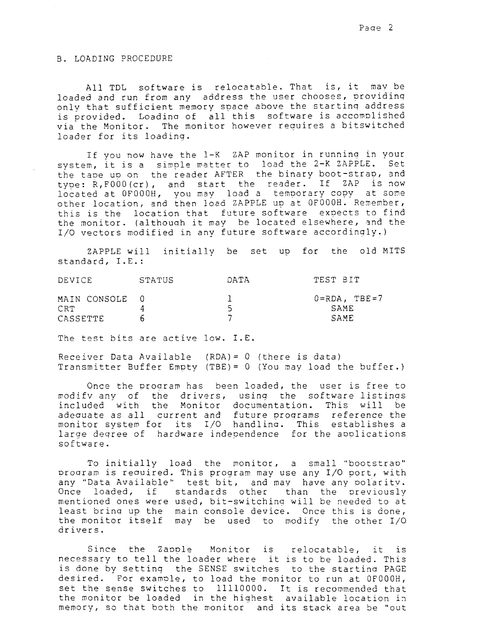# B. LOADING PROCEDURE

All TDL software is relocatable. That is, it may be loaded and run from any address the user chooses, providing only that sufficient memory space above the starting address is provided. Loading of all this software is accomplished via the Monitor. The monitor however requires a bitswitched loader for its loading.

If you now have the 1-K ZAP monitor in running in your system, it is a simple matter to load the 2-K ZAPPLE. Set the tape up on the reader AFTER the binary boot-strap, and type: R, F000 (cr), and start the reader. If ZAP is now located at OF000H, you may load a temporary copy at some other location, and then load ZAPPLE up at OF000H. Remember, this is the location that future software expects to find the monitor. (although it may be located elsewhere, and the I/O vectors modified in any future software accordingly.)

ZAPPLE will initially be set up for the old MITS standard, I.E.:

| <b>DEVICE</b>  | STATUS | DATA | TEST BIT              |
|----------------|--------|------|-----------------------|
| MAIN CONSOLE 0 |        |      | $0 = RDA$ , $TBE = 7$ |
| CRT.           |        |      | SAME                  |
| CASSETTE       |        |      | SAME                  |

The test bits are active low. I.E.

Receiver Data Available (RDA) =  $0$  (there is data) Transmitter Buffer Empty (TBE) = 0 (You may load the buffer.)

Once the program has been loaded, the user is free to modify any of the drivers, using the software listings included with the Monitor documentation. This will be adequate as all current and future programs reference the monitor system for its I/O handling. This establishes a large degree of hardware independence for the applications software.

To initially load the monitor, a small "bootstrap" program is required. This program may use any I/O port, with any "Data Available" test bit, and may have any polarity. Once loaded, if standards other than the previously mentioned ones were used, bit-switching will be needed to at least bring up the main console device. Once this is done, the monitor itself may be used to modify the other I/O drivers.

Since the Zapple Monitor is relocatable, it is necessary to tell the loader where it is to be loaded. This is done by setting the SENSE switches to the starting PAGE desired. For example, to load the monitor to run at OF000H, set the sense switches to 11110000. It is recommended that the monitor be loaded in the highest available location in memory, so that both the monitor and its stack area be "out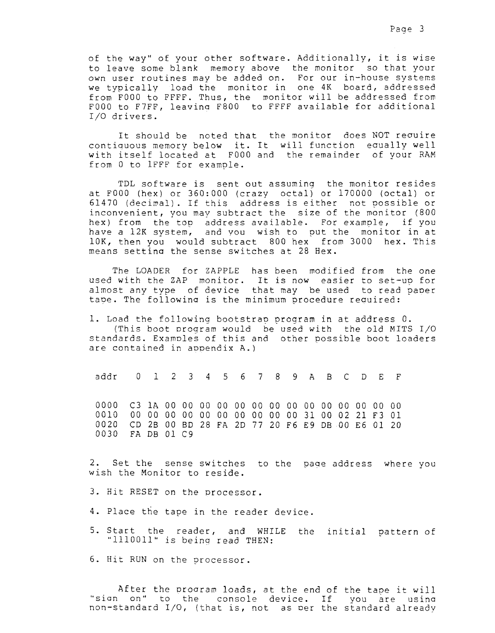of the way" of your other software. Additionally, it is wise to leave some blank memory above the monitor so that your own user routines may be added on. For our in-house systems we typically load the monitor in one 4K board, addressed from F000 to FFFF. Thus, the monitor will be addressed from F000 to F7FF, leaving F800 to FFFF available for additional I/O drivers.

It should be noted that the monitor does NOT require contiguous memory below it. It will function equally well with itself located at F000 and the remainder of your RAM from 0 to IFFF for example.

TDL software is sent out assuming the monitor resides at F000 (hex) or 360:000 (crazy octal) or 170000 (octal) or 61470 (decimal). If this address is either not possible or inconvenient, you may subtract the size of the monitor (800 hex) from the top address available. For example, if you have a 12K system, and you wish to put the monitor in at 10K, then you would subtract 800 hex from 3000 hex. This means setting the sense switches at 28 Hex.

The LOADER for ZAPPLE has been modified from the one used with the ZAP monitor. It is now easier to set-up for almost any type of device that may be used to read paper tape. The following is the minimum procedure required:

1. Load the following bootstrap program in at address 0. (This boot program would be used with the old MITS I/O standards. Examples of this and other possible boot loaders are contained in appendix A.)

addr 0 1 2 3 4 5 6 7 8 9 A B C D E F  $0000$ 0010 00 00 00 00 00 00 00 00 00 00 31 00 02 21 F3 01 0020 CD 2B 00 BD 28 FA 2D 77 20 F6 E9 DB 00 E6 01 20 0030 FA DB 01 C9

2. Set the sense switches to the page address where you wish the Monitor to reside.

3. Hit RESET on the processor.

- 4. Place the tape in the reader device.
- 5. Start the reader, and WHILE the initial pattern of "1110011" is being read THEN:
- 6. Hit RUN on the processor.

After the program loads, at the end of the tape it will "sian on" to the console device. If you are using non-standard I/O, (that is, not as per the standard already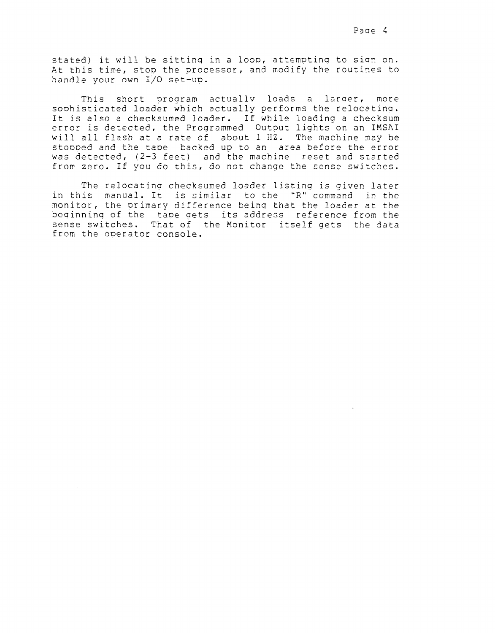stated) it will be sitting in a loop, attempting to sign on. At this time, stop the processor, and modify the routines to handle your own I/O set-up.

This short program actually loads a larger, more sophisticated loader which actually performs the relocating. It is also a checksumed loader. If while loading a checksum error is detected, the Programmed Output lights on an IMSAI will all flash at a rate of about 1 HZ. The machine may be stooped and the tape backed up to an area before the error was detected, (2-3 feet) and the machine reset and started from zero. If you do this, do not change the sense switches.

The relocating checksumed loader listing is given later in this manual. It is similar to the "R" command in the monitor, the primary difference being that the loader at the beginning of the tape gets its address reference from the sense switches. That of the Monitor itself gets the data from the operator console.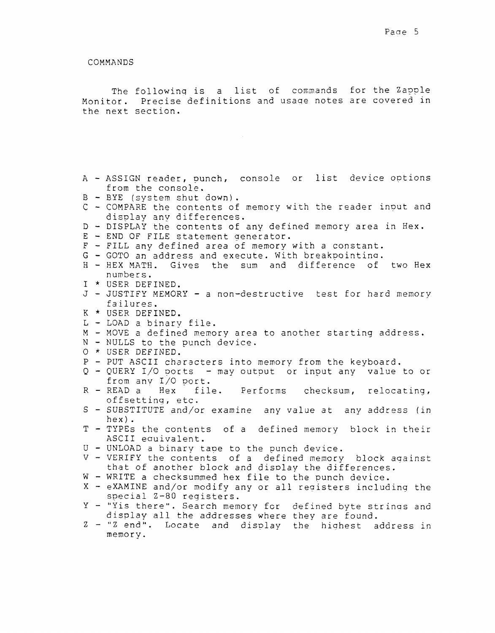COMMANDS

The following is a list of commands for the Zapple<br>or, Precise definitions and usage notes are covered i Monitor. Precise definitions and usaqe notes are covered in the next section.

- A ASSIGN reader, punch, console or list device options<br>from the console. from the console.
- B BYE (system shut down).
- B BIE (system snut down).<br>C COMPARE the contents of memory with the reader input and<br>- display any differences display anv differences.
- D DISPLAY the contents of any defined memory area in Hex.
- D DISPLAY the contents or any der:<br>E END OF FILE statement generator.<br>E PIII
- E END OF FILE Statement generator.<br>F FILL any defined area of memory with a constant
- r rith any defined area of memory with a constant<br>G GOTO an address and execute. With breakpointing
- G GOTO an address and execute. With breakpointing.<br>H HEX MATH. Gives the sum and difference of two He<br>Dumbers numbers.
- I \* USER DEFINED.
- j JUSTIFY MEMORY <sup>a</sup> non-destructive test for hard memory failures. <sup>K</sup> \* USER DEFINED.
- 
- L LOAD a binary file.<br>M MOVE a defined memo
- $M MOVE$  a defined memory area to another starting address.
- m muve a defined memory area<br>N NULLS to the punch device<br>A + HOPP PRINNP
- N NULLS to the<br>O \* USER DEFINED
- P PUT ASCII characters into memory from the keyboard
- P PUT ASCII Characters into memory from the keyboard.<br>Q QUERY I/O ports may output or input any value to or<br>from any I/O port from any I/O port.<br>READ a Hex file
- R file. Performs checksum, relocating, offsettinq, etc.
- S SUBSTITUTE and/or examine any value at any address (in hex).
- T TYPES the contents of <sup>a</sup> defined memory block in their ASCII eauivalent.
- U UNLOAD a binary tape to the punch device.<br>V VERIEY the contents of a defined memory
- V VERIFY the contents of a defined memory block against<br>that of apother block and display the differences that of another block and display the differences.
- W WRITE a checksummed hex file to the punch device<br>X eXAMINE and/or modify any or all registers includ
- X eXAMINE and/or modify any or all registers including the<br>special 7-80 registers special Z-80 registers.
- Y "Yis there". Search memory fcr defined byte strinas and display all the addresses where they are found.
- Z "Z end". Locate and display the highest address in memory.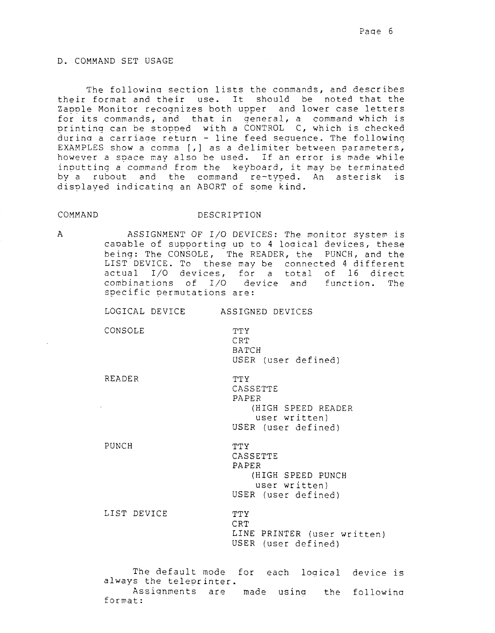## D. COMMAND SET USAGE

The following section lists the commands, and describes their format and their use. It should be noted that the Zapple Monitor recognizes both upper and lower case letters for its commands, and that in general, a command which is printing can be stopped with a CONTROL C, which is checked during a carriage return - line feed sequence. The following EXAMPLES show a comma [,] as a delimiter between parameters, however a space may also be used. If an error is made while inputting a command from the keyboard, it may be terminated by a rubout and the command re-typed. An asterisk is displayed indicating an ABORT of some kind.

#### COMMAND

# DESCRIPTION

 $\mathsf{A}$ 

ASSIGNMENT OF I/O DEVICES: The monitor system is capable of supporting up to 4 logical devices, these being: The CONSOLE, The READER, the PUNCH, and the LIST DEVICE. To these may be connected 4 different actual I/O devices, for a total of 16 direct combinations of I/O device and function. The specific permutations are:

LOGICAL DEVICE ASSIGNED DEVICES

CONSOLE

**TTY** CRT BATCH USER (user defined)

**READER** 

**TTY** CASSETTE PAPER (HIGH SPEED READER user written) USER (user defined)

PUNCH

CASSETTE PAPER (HIGH SPEED PUNCH user written) USER (user defined)

LIST DEVICE

**TTY** CRT LINE PRINTER (user written) USER (user defined)

The default mode for each logical device is always the teleprinter. Assignments are made using the following format:

**TTY**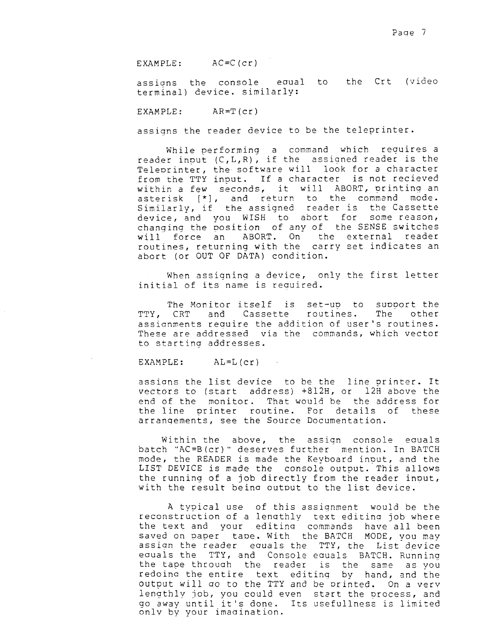EXAMPLE:  $AC = C$   $(cr)$ 

to the Crt (video assions the console equal terminal) device. similarly:

EXAMPLE:  $AR = T (cr)$ 

assigns the reader device to be the teleprinter.

While performing a command which requires a reader input (C,L,R), if the assigned reader is the Teleprinter, the software will look for a character from the TTY input. If a character is not recieved within a few seconds, it will ABORT, printing an asterisk [\*], and return to the command mode. Similarly, if the assigned reader is the Cassette device, and you WISH to abort for some reason, changing the position of any of the SENSE switches ABORT. On the external reader will force an routines, returning with the carry set indicates an abort (or OUT OF DATA) condition.

When assigning a device, only the first letter initial of its name is required.

The Monitor itself is set-up to support the other TTY, CRT and Cassette routines. The assionments require the addition of user's routines. These are addressed via the commands, which vector to starting addresses.

EXAMPLE:  $AL=L(cr)$ 

assions the list device to be the line printer. It vectors to (start address) +812H, or 12H above the end of the monitor. That would be the address for the line printer routine. For details of these arrangements, see the Source Documentation.

Within the above, the assign console equals batch "AC=B(cr)" deserves further mention. In BATCH mode, the READER is made the Keyboard input, and the LIST DEVICE is made the console output. This allows the running of a job directly from the reader input, with the result being output to the list device.

A typical use of this assignment would be the reconstruction of a lengthly text editing job where the text and your editing commands have all been saved on paper tape. With the BATCH MODE, you may assign the reader equals the TTY, the List device equals the TTY, and Console equals BATCH. Running the tape through the reader is the same as you redoing the entire text editing by hand, and the output will go to the TTY and be printed. On a very lengthly job, you could even start the process, and go away until it's done. Its usefullness is limited only by your imagination.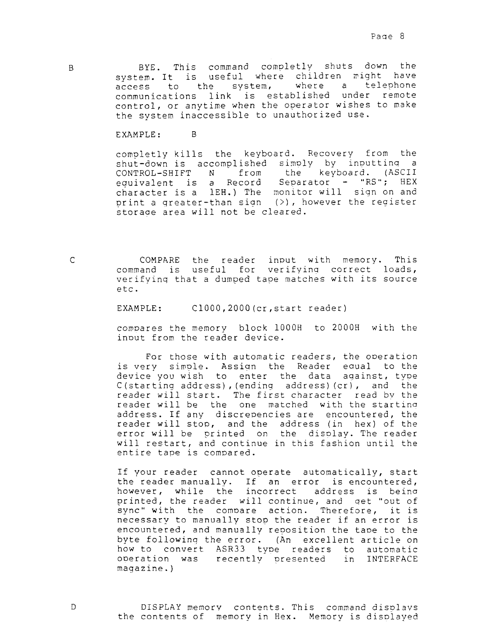BYE. This command completly shuts down the system. It is useful where children might have where a telephone system, to the access communications link is established under remote control, or anytime when the operator wishes to make the system inaccessible to unauthorized use.

EXAMPLE: B<sub>1</sub>

completly kills the keyboard. Recovery from the shut-down is accomplished simply by inputting a<br>CONTROL-SHIFT N from the keyboard. (ASCII equivalent is a Record Separator - "RS"; HEX character is a 1EH.) The monitor will sign on and print a greater-than sign  $(\rangle)$ , however the register storage area will not be cleared.

COMPARE the reader input with memory. This command is useful for verifying correct loads, verifying that a dumped tape matches with its source etc.

C1000, 2000 (cr, start reader) EXAMPLE:

compares the memory block 1000H to 2000H with the input from the reader device.

For those with automatic readers, the operation is very simple. Assign the Reader equal to the device you wish to enter the data against, type C(starting address), (ending address) (cr), and the reader will start. The first character read by the<br>reader will be the one matched with the starting address. If any discrepencies are encountered, the reader will stop, and the address (in hex) of the error will be printed on the display. The reader will restart, and continue in this fashion until the entire tape is compared.

If your reader cannot operate automatically, start the reader manually. If an error is encountered, however, while the incorrect address is being printed, the reader will continue, and get "out of sync" with the compare action. Therefore, it is necessary to manually stop the reader if an error is encountered, and manually reposition the tape to the byte following the error. (An excellent article on how to convert ASR33 type readers to automatic operation was recently presented in INTERFACE  $maqazine.$ )

 $\mathsf{C}$ 

 $\Gamma$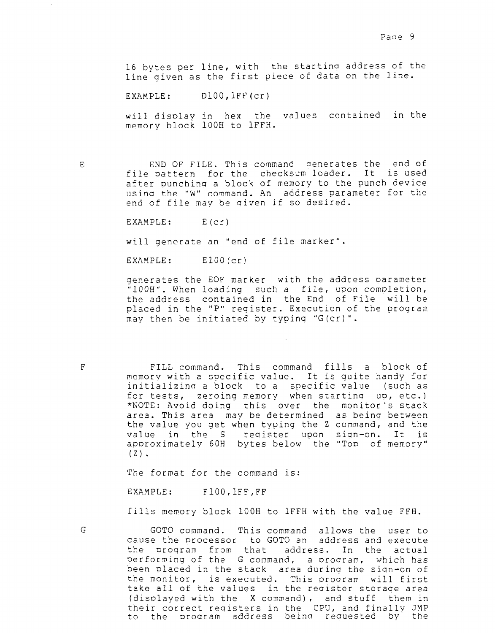16 bytes per line, with the starting address of the line given as the first piece of data on the line.

 $D100, lFF (cr)$ EXAMPLE:

will display in hex the values contained in the memory block 100H to 1FFH.

 $\mathbf{E}% _{0}$ 

END OF FILE. This command generates the end of file pattern for the checksum loader. It is used after punching a block of memory to the punch device using the "W" command. An address parameter for the end of file may be given if so desired.

EXAMPLE:  $E(cr)$ 

will generate an "end of file marker".

EXAMPLE:  $E100(c)$ 

generates the EOF marker with the address parameter "100H". When loading such a file, upon completion, the address contained in the End of File will be placed in the "P" register. Execution of the program may then be initiated by typing "G(cr)".

FILL command. This command fills a block of<br>memory with a specific value. It is guite handy for initializing a block to a specific value (such as for tests, zeroing memory when starting up, etc.) \*NOTE: Avoid doing this over the monitor's stack area. This area may be determined as being between the value you get when typing the Z command, and the value in the S register upon sign-on. It is approximately 60H bytes below the "Top of memory"  $(2)$ .

The format for the command is:

EXAMPLE:  $F100, IFF, FF$ 

fills memory block 100H to 1FFH with the value FFH.

G

 $\overline{\mathrm{F}}$ 

GOTO command. This command allows the user to cause the processor to GOTO an address and execute the program from that address. In the actual performing of the G command, a program, which has been placed in the stack area during the sign-on of the monitor, is executed. This program will first take all of the values in the register storage area (displayed with the X command), and stuff them in their correct registers in the CPU, and finally JMP to the program address being requested by the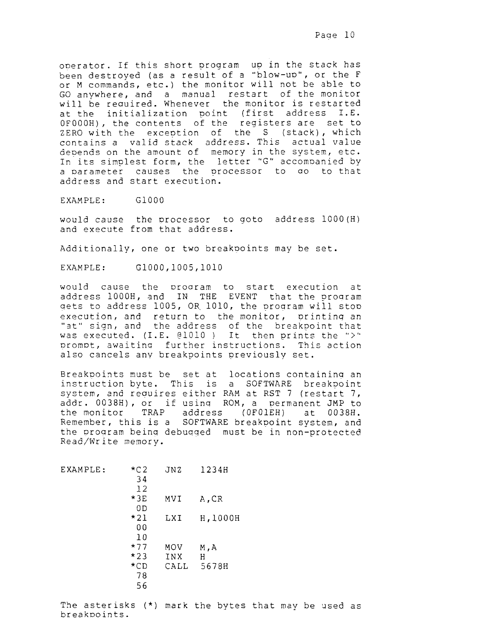operator. If this short program up in the stack has been destroyed (as a result of a "blow-up", or the F or M commands, etc.) the monitor will not be able to GO anywhere, and a manual restart of the monitor will be required. Whenever the monitor is restarted at the initialization point (first address I.E. OFOOOH), the contents of the registers are set to ZERO with the exception of the S (stack), which contains a valid stack address. This actual value depends on the amount of memory in the system, etc. In its simplest form, the letter "G" accompanied by a parameter causes the processor to go to that address and start execution.

EXAMPLE: G1000

would cause the processor to goto address 1000(H) and execute from that address.

Additionally, one or two breakpoints may be set.

G1000,1005,1010 EXAMPLE:

would cause the program to start execution at address 1000H, and IN THE EVENT that the program gets to address 1005, OR 1010, the program will stop execution, and return to the monitor, printing an<br>"at" sign, and the address of the breakpoint that was executed.  $(I.E. \theta 1010)$  It then prints the ">" prompt, awaiting further instructions. This action also cancels any breakpoints previously set.

Breakpoints must be set at locations containing an instruction byte. This is a SOFTWARE breakpoint system, and requires either RAM at RST 7 (restart 7, addr. 0038H), or if using ROM, a permanent JMP to the monitor TRAP address  $(OFOIEH)$ at 0038H. Remember, this is a SOFTWARE breakpoint system, and the program being debugged must be in non-protected Read/Write memory.

| EXAMPLE: | $\star$ C2 | JNZ  | 1234H    |
|----------|------------|------|----------|
|          | 34         |      |          |
|          | 12         |      |          |
|          | $*3E$      | MVI  | A,CR     |
|          | 0 D        |      |          |
|          | *21        | LXI  | H, 1000H |
|          | 00         |      |          |
|          | 10         |      |          |
|          | $*77$      | MOV  | M, A     |
|          | $*23$      | INX  | Н        |
|          | $\star$ CD | CALL | 5678H    |
|          | 78         |      |          |
|          | 56         |      |          |

The asterisks (\*) mark the bytes that may be used as breakpoints.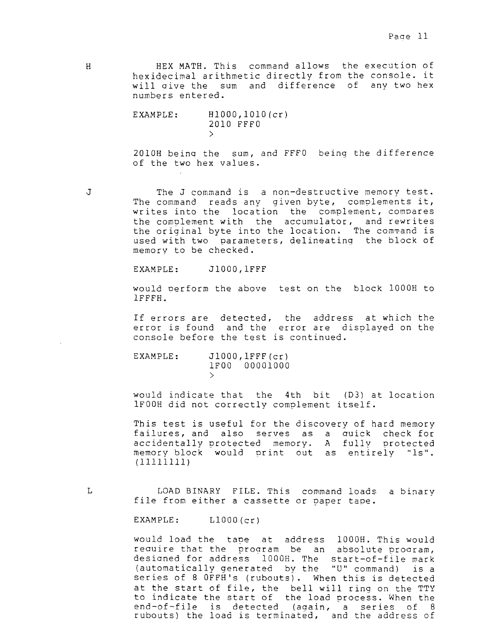<sup>H</sup> HEX MATH. This command allows the execution of hexidecimal arithmetic directly from the console. it will aive the sum and difference of any two hex numbers entered.

> EXAMPLE: Hl00O,lOl0(cr) 2010 FFFO >

2010H being the sum, and FFFO being the difference of the two hex values.

J The J command is a non-destructive memory test. The command reads any given byte, complements it, writes into the location the complement, compares the complement with the accumulator, and rewrites the original byte into the location. The command is used with two parameters, delineating the block of memory to be checked.

EXAMPLE: J1000, 1FFF

would oerform the above test on the block IOOOH to 1FFFH.

If errors are detected, the address at which the error is found and the error are disolayed on the console before the test is continued.

EXAMPLE: J1000, 1FFF(cr) IFOO 00001000  $\mathcal{P}$ 

would indicate that the 4th bit (D3) at location 1F00H did not correctly complement itself.

This test is useful for the discovery of hard memory failures, and also serves as <sup>a</sup> auick check for accidentally protected memory. A fully protected<br>momory block would print out as entirely "le" memory block would print out as entirely "ls".<br>(111111111)

<sup>L</sup> LOAD BINARY FILE. This command loads <sup>a</sup> binary file from either <sup>a</sup> cassette or paper tape.

EXAMPLE: L1000(cr)

would load the tape at address 1OOOH. This would require that the program be an absolute program, designed for address 1000H. The start-of-file mark (automatically generated by the "U" command) is <sup>a</sup> series of 8 OFFH's (rubouts). When this is detected at the start of file, the bell will ring on the TTY to indicate the start of the load process. When the end-of-file is detected (again, a series of 8<br>rubouts) the load is terminated, and the address of rubouts) the load is terminated, and the address of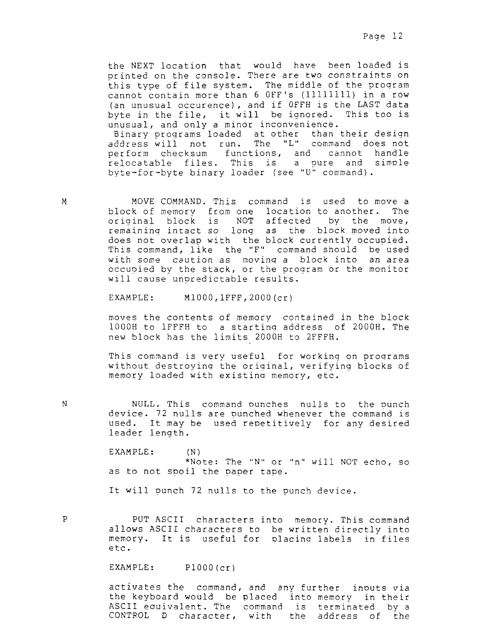the NEXT location that would have been loaded is printed on the console. There are two constraints on this type of file system. The middle of the proqram cannot contain more than 6 OFF's (11111111) in a row OFF's (11111111) in a row<br>if OFFH is the LAST data (an unusual occurence), and if OFFH is the LAST dat<br>byte in the file, it will be ignored. This too i byte in the file, it will be ignored. This too is unusual, and only <sup>a</sup> minor inconvenience. Binary proqrams loaded at other than their design

address will not run. The "L" command does not perform checksum functions, and cannot handle relocatable files. This is <sup>a</sup> pure and simple byte-for-byte binary loader (see "U" command).

M MOVE COMMAND. This command is used to move a block of memory from one location to another. The original block is NOT affected by the move, remaining intact so lonq as the block moved into does not overlap with the block currently occupied. This command, like the "F" command should be used with some caution as moving a block into an area occupied by the stack, or the program or the monitor will cause unpredictable results.

EXAMPLE: MlO0O,lFFF,200O(cr)

moves the contents of memory contained in the block IOOOH to IFFFE! to <sup>a</sup> startinq address of 200OH. The new block has the limits 2000H to 2FFFH.

.

This command is very useful for working on proqrams without destroying the original, verifying blocks of memory loaded with existing memory, etc.

NULL. This command ounches nulls to the punch device. 72 nulls are punched whenever the command is used. It may be used repetitively for any desired leader length.

EXAMPLE: (N) \*Note: The "N" or "n" will NOT echo, so as to not spoil the paper tape.

It will punch 72 nulls to the punch device.

N

P PUT ASCII characters into memory. This command allows ASCII characters to be written directly into memory. It is useful for placing labels in files etc.

EXAMPLE: P1000(cr)

activates the command, and any further inouts via the keyboard would be placed into memory in their ASCII eauivalent. The command is terminated by <sup>a</sup> CONTROL <sup>D</sup> character, with the address of the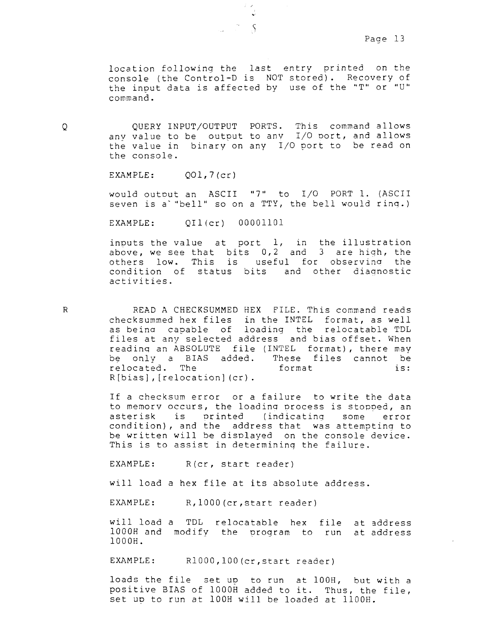location following the last entry printeá on the console (the Control-D is NOT stored). Recovery of the input data is affected by use of the "T" or "U" command.

l Y"

'i

,

<sup>Q</sup> QUERY INPUT/OUTPUT PORTS. This command allows any value to be output to any I/O port, and allows the value in binary on any I/O port to be read on the console.

EXAMPLE: QOl,7(cr)

would outout an ASCII "7" to I/O PORT I. (ASCII seven is a""bell" so on <sup>a</sup> TTY, the bell would rinq.)

EXAMPLE:  $OII(cr)$  00001101

inputs the value at port  $l$ , in the illustration above, we see that bits 0,2 and <sup>3</sup> are hiqh, the others low. This is useful for observina the condition of status bits and other diagnostic activities.

R READ A CHECKSUMMED HEX FILE. This command reads checksummed hex files in the INTEL format, as well as beina capable of loading the relocatable TDL files at anv selected address and bias offset. When reading an ABSOLUTE file (INTEL format), there may<br>be only a BIAS added. These files cannot be be only a BIAS added. These files cannot be<br>relocated. The format is: relocated. The R[bias],[relocation](cr).

> If <sup>a</sup> checksum error or <sup>a</sup> failure to write the data to memory occurs, the loading process is stopped, an asterisk is printed (indicating some error condition), and the address that was attempting to be written will be displayed on the console device. This is to assist in determining the failure.

EXAMPLE: R(cr, start reader)

will load <sup>a</sup> hex file at its absolute address.

EXAMPLE: R, 1000 (cr, start reader)

will load <sup>a</sup> TDL relocatable hex file at address 1OOOH and modify the Drogram to run at address IOOOH.

EXAMPLE: R1000,100(cr, start reader)

loads the file 3et up to run at IOOH, but with <sup>a</sup> positive BIAS of 1000H added to it. Thus, the file, set up to run at 100H will be loaded at 1100H.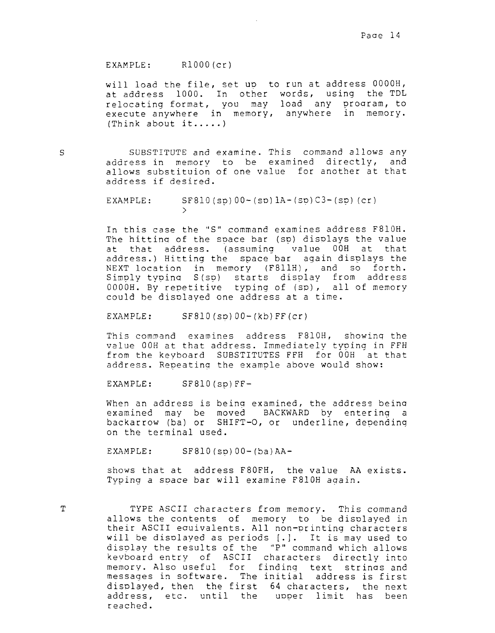### EXAMPLE: Rl0OO(cr)

will load the file, set up to run at address OOOOH, at address 1000. In other words, using the TDL relocating format, you may load any proaram, to execute anywhere in memory, anywhere in memory. (Think about it.....)

S SUBSTITUTE and examine. This command allows any address in memory to be examined directly, and allows substituion of one value for another at that address if desired.

> EXAMPLE: SF810(sp)00-(sp)1A-(sp)C3-(sp)(cr) >

In this case the "S" command examines address F8!OH. The hitting of the space bar (sp) displays the value at that address. (assuming value 00H at that address.) Hitting the space bar again displays the<br>NEXT location in memory (F811H), and so forth. Simply typing S(sp) starts display from address 0000H. By repetitive typing of (sp), all of memory could be displayed one address at a time.

 $EXAMPLE:$   $SF810(Sp)00-(kb)FF(cr)$ 

This comwand examines address F81OH, showinq the value OOH at that address. Immediately tyoinq in FFH from the keyboard SUBSTITUTES FFH for 00H at that address. Repeating the example above would show:

 $EXAMPLE:$   $SF810(Sp)FF-$ 

When an address is being examined, the address being examined may be moved BACKWARD by entering <sup>a</sup> backarrow (ba) or SHIFT-O, or underline, depending on the terminal used.

 $EXAMPLE:$   $SF810(Sp)00-(ba)AA-$ 

shows that at address F80FH, the value AA exists. Typing a space bar will examine F810H again.

T TYPE ASCII characters from memory. This command allows the contents of memory to be displayed in their ASCII equivalents. All non-printing characters will be displayed as periods  $[.]$ . It is may used to will be displayed as periods [.]. It is may used to<br>display the results of the "P" command which allows keyboard entry of ASCII characters directly into<br>memory also useful for finding teut strippe and memory. Also useful for findinq text strinas and messages in software. The initial address is first<br>displayed, then the first 64 characters, the next address, etc. until the upper limit has been reached.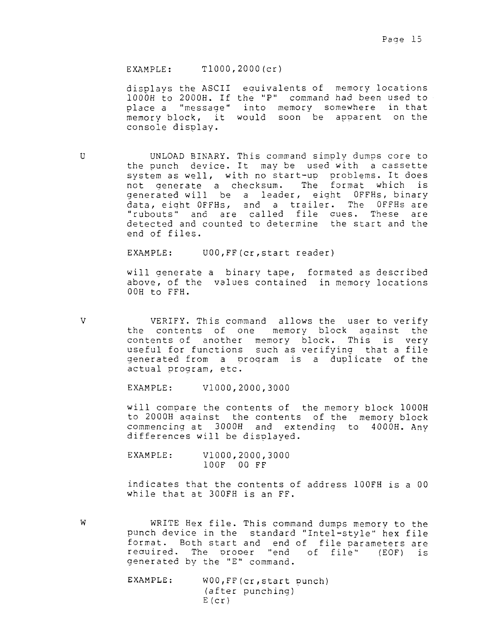EXAMPLE: TlO00,200O(cr)

displays the ASCII eauivalents of memory locations IOOOH to 200OE. If the "P" commaná had been used to place <sup>a</sup> "messaae" into memory somewhere in that memory block, it would soon be apparent on the console display.

U UNLOAD BINARY. This command simply dumps core to the punch device. It may be used with <sup>a</sup> cassette system as well, with no start-up problems. It does not generate <sup>a</sup> checksum. The format which is generated will be a leader, eight OFFHs, binary<br>data eight OFFHs, and a trailer. The OFFHs are data, eight OFFHs, and a trailer. The<br>"rubouts" and are called file ques. The OFFHs are<br>es. These are "rubouts" and are called file gues. These are<br>detected and counted to determine, the start and the detected and counted to determine the start and the<br>and of files end of files.

EXAMPLE: UOO, FF (cr, start reader)

will aenerate <sup>a</sup> binary tape, formated as described above, of the values contained in memory locations  $00H$  to FFH.

V VERIFY. This command allows the user to verify<br>the contents of one memory block against the<br>contents of another memory block. This is very useful for functions such as verifying that a file generated from a program is a duplicate of the actual program, etc.

EXAMPLE: vlO00,2000,3000

will compare the contents of the memory block IOOOH to 2000H against the contents of the memory block commencing at 300OH and extending to 400OH. Any differences will be displayed.

EXAMPLE: VlO00,2000,3000 IOOF 00 FE

indicates that the contents of address 1OOFH is <sup>a</sup> <sup>00</sup> while that at 300FH is an FF.

- W WRITE Hex file. This command dumps memory to the<br>punch device in the standard "Intel-style" hex file format. Both start and end of file parameters are<br>required. The proper "end of file" (EOF) is generated by the "E" command. EXAMPLE: WOO, FF(cr, start punch)
	- (after punching)  $E$ (cr)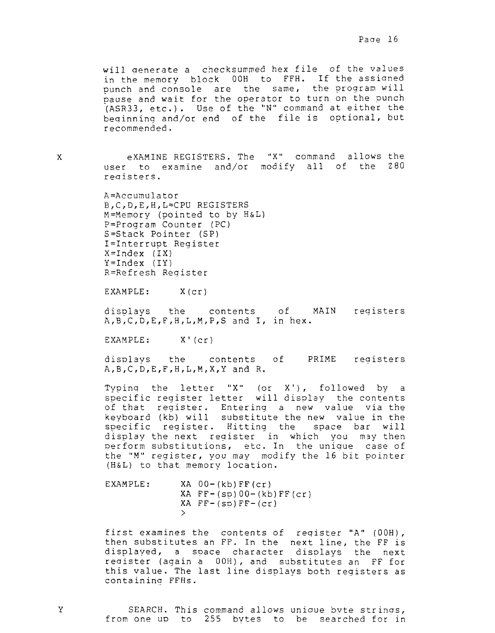will generate <sup>a</sup> checksummed hex file of the values in the memory block OOH to FFH. If the assicmed punch and console are the same, the program will pause and wait for the operator to turn on the punch (ASR33, etc.). Use of the "N" command at either the beqinning and/or end of the file is optional, but recommended.

exAMINE REGISTERS. The "X" command allows the user to examine and/or modify all of the Z80 reaisters.

A=Accurnulator B,C,D,E,H,L=CPU REGISTERS M=Memory (pointed to by H&L) P=Program Counter (PC) S=Stack Pointer (SP) I=Interrupt Register X=Index (IX) Y=lndex (IY) R=Refresh Register

EXAMPLE: X(cr)

displays the contents of MAIN registers<br>A,B,C,D,E,F,H,L,M,P,S and I, in hex.

EXAMPLE: X'(cr)

displays the contents of PRIME reqisters A,B,C,D,E,F,H,L,M,X,Y and R.

Typing the letter "X" (or  $X'$ ), followed by a specific register letter will display the contents of that reqister. Entering <sup>a</sup> new value via the keyboard (kb) will substitute the new value in the specific reqister. Bitting the space bar will display the next register in which you may then perform substitutions, etc. In the uniaue case of the "M" register, you may modify the <sup>16</sup> bit pointer (H&L) to that memory location.

EXAMPLE: XA 0O-(kb)FF(cr) XA  $FF-(sp)00-(kb)FF(cr)$  $XA$   $FF-(sp)$   $FF-(cr)$ >

first examines the contents of reqister "A" (OOH), then substitutes an FF. In the next line, the FE is displayed, a space character displays the next reaister (again <sup>a</sup> OOH), and substitutes an FF for this value. The last line displays both registers as containing FFHs.

<sup>Y</sup> SEARCH. This command allows uniaue bvte strinas, from one up to <sup>255</sup> bytes to be searched for in

X